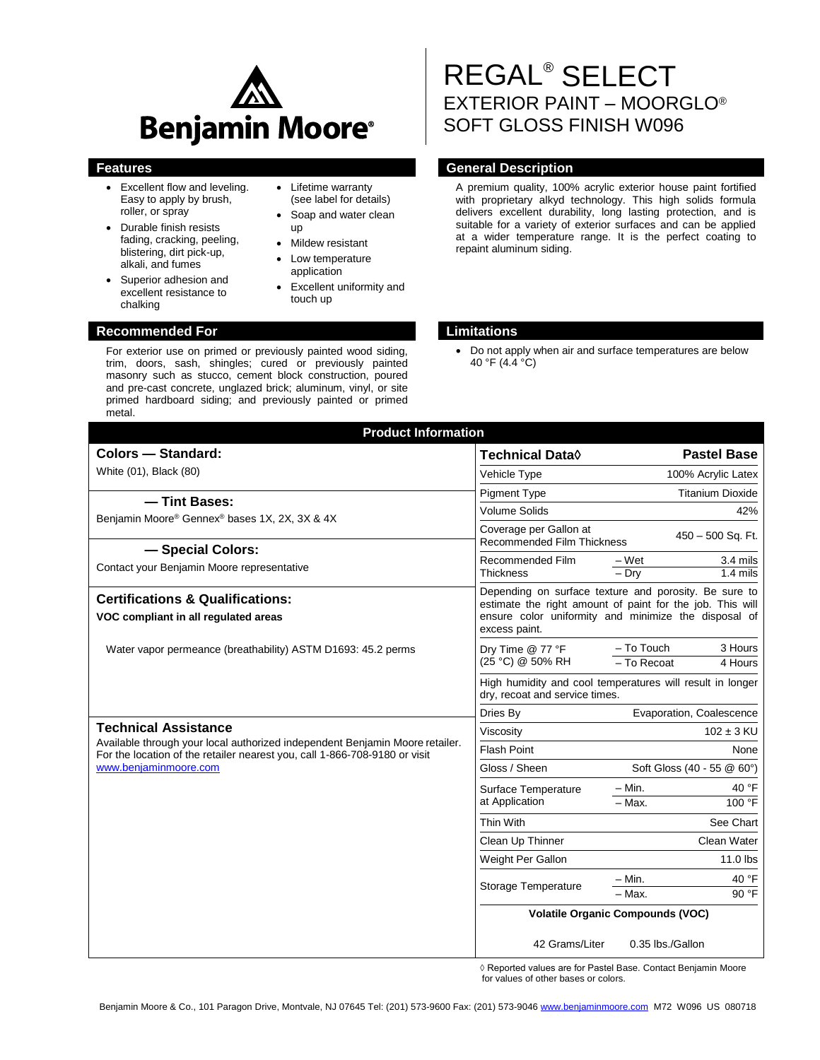

- Excellent flow and leveling. Easy to apply by brush, roller, or spray
- Durable finish resists fading, cracking, peeling, blistering, dirt pick-up, alkali, and fumes
- Superior adhesion and excellent resistance to chalking
- Lifetime warranty (see label for details)
- Soap and water clean up
- Mildew resistant
- Low temperature
- application
- Excellent uniformity and touch up

# **Recommended For Limitations**

For exterior use on primed or previously painted wood siding, trim, doors, sash, shingles; cured or previously painted masonry such as stucco, cement block construction, poured and pre-cast concrete, unglazed brick; aluminum, vinyl, or site primed hardboard siding; and previously painted or primed metal.

# REGAL® SELECT EXTERIOR PAINT – MOORGLO® SOFT GLOSS FINISH W096

# **Features General Description**

A premium quality, 100% acrylic exterior house paint fortified with proprietary alkyd technology. This high solids formula delivers excellent durability, long lasting protection, and is suitable for a variety of exterior surfaces and can be applied at a wider temperature range. It is the perfect coating to repaint aluminum siding.

| <b>Product Information</b>                                                                                                                                 |                                                                                             |                                                                                                                                                                            |  |
|------------------------------------------------------------------------------------------------------------------------------------------------------------|---------------------------------------------------------------------------------------------|----------------------------------------------------------------------------------------------------------------------------------------------------------------------------|--|
| Colors - Standard:                                                                                                                                         | <b>Technical Data</b> ♦                                                                     | <b>Pastel Base</b>                                                                                                                                                         |  |
| White (01), Black (80)                                                                                                                                     | Vehicle Type                                                                                | 100% Acrylic Latex                                                                                                                                                         |  |
| - Tint Bases:                                                                                                                                              | <b>Pigment Type</b>                                                                         | <b>Titanium Dioxide</b>                                                                                                                                                    |  |
| Benjamin Moore® Gennex® bases 1X, 2X, 3X & 4X                                                                                                              | <b>Volume Solids</b>                                                                        | 42%                                                                                                                                                                        |  |
|                                                                                                                                                            | Coverage per Gallon at<br><b>Recommended Film Thickness</b>                                 | 450 - 500 Sq. Ft.                                                                                                                                                          |  |
| - Special Colors:<br>Contact your Benjamin Moore representative                                                                                            | Recommended Film<br><b>Thickness</b>                                                        | $-Wet$<br>3.4 mils<br>$-$ Dry<br>$1.4$ mils                                                                                                                                |  |
| <b>Certifications &amp; Qualifications:</b><br>VOC compliant in all regulated areas                                                                        | excess paint.                                                                               | Depending on surface texture and porosity. Be sure to<br>estimate the right amount of paint for the job. This will<br>ensure color uniformity and minimize the disposal of |  |
| Water vapor permeance (breathability) ASTM D1693: 45.2 perms                                                                                               | Dry Time @ 77 °F<br>(25 °C) @ 50% RH                                                        | - To Touch<br>3 Hours<br>- To Recoat<br>4 Hours                                                                                                                            |  |
|                                                                                                                                                            | High humidity and cool temperatures will result in longer<br>dry, recoat and service times. |                                                                                                                                                                            |  |
|                                                                                                                                                            | Dries By                                                                                    | Evaporation, Coalescence                                                                                                                                                   |  |
| <b>Technical Assistance</b>                                                                                                                                | Viscosity                                                                                   | $102 \pm 3$ KU                                                                                                                                                             |  |
| Available through your local authorized independent Benjamin Moore retailer.<br>For the location of the retailer nearest you, call 1-866-708-9180 or visit | <b>Flash Point</b>                                                                          | None                                                                                                                                                                       |  |
| www.benjaminmoore.com                                                                                                                                      | Gloss / Sheen                                                                               | Soft Gloss (40 - 55 @ 60°)                                                                                                                                                 |  |
|                                                                                                                                                            | Surface Temperature                                                                         | 40 °F<br>$-$ Min.                                                                                                                                                          |  |
|                                                                                                                                                            | at Application                                                                              | $-$ Max.<br>100 °F                                                                                                                                                         |  |
|                                                                                                                                                            | Thin With                                                                                   | See Chart                                                                                                                                                                  |  |
|                                                                                                                                                            | Clean Up Thinner                                                                            | Clean Water                                                                                                                                                                |  |
|                                                                                                                                                            | Weight Per Gallon                                                                           | 11.0 lbs                                                                                                                                                                   |  |
|                                                                                                                                                            | <b>Storage Temperature</b>                                                                  | $-$ Min.<br>40 °F<br>90 °F<br>$-$ Max.                                                                                                                                     |  |
|                                                                                                                                                            | <b>Volatile Organic Compounds (VOC)</b>                                                     |                                                                                                                                                                            |  |
|                                                                                                                                                            | 42 Grams/Liter                                                                              | 0.35 lbs./Gallon                                                                                                                                                           |  |

◊ Reported values are for Pastel Base. Contact Benjamin Moore for values of other bases or colors.

Do not apply when air and surface temperatures are below 40 °F (4.4 °C)